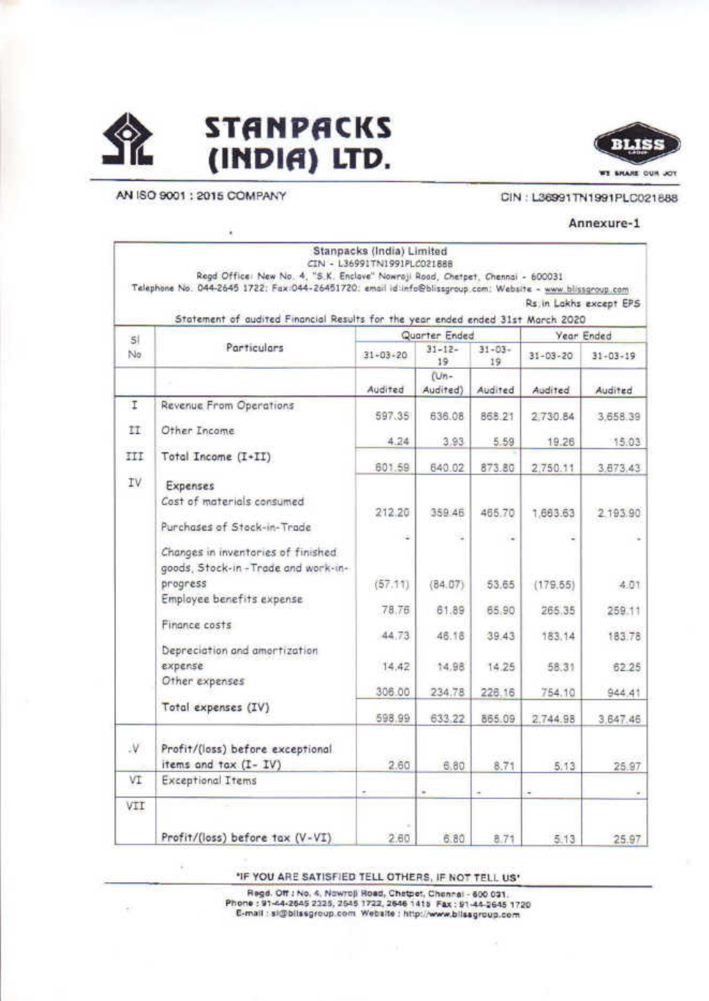



AN ISO 9001 : 2015 COMPANY

×

#### CIN: L36991TN1991PLC021888

#### Annexure-1

|              | Regd Office: New No. 4, "S.K. Enclove" Nowroji Road, Chetpet, Chennai - 600031<br>Telephone No. 044-2645 1722: Fax:044-26451720: email id:info@blissgroup.com: Website - www.blissgroup.com | Stanpacks (India) Limited<br>CIN - L36991TN1991PLC021888 |                   |                   |                |                         |
|--------------|---------------------------------------------------------------------------------------------------------------------------------------------------------------------------------------------|----------------------------------------------------------|-------------------|-------------------|----------------|-------------------------|
|              | Statement of audited Financial Results for the year ended ended 31st March 2020                                                                                                             |                                                          |                   |                   |                | Rs. in Lakhs except EPS |
| 51           |                                                                                                                                                                                             |                                                          | Quarter Ended     |                   |                | Year Ended              |
| No.          | Particulars                                                                                                                                                                                 | $31 - 03 - 20$                                           | $31 - 12 -$<br>19 | $31 - 03 -$<br>19 | $31 - 03 - 20$ | $31 - 03 - 19$          |
|              |                                                                                                                                                                                             | Audited                                                  | $Um-$<br>Audited) | Audited           | Audited        | Audited                 |
| I            | Revenue From Operations                                                                                                                                                                     |                                                          |                   |                   |                |                         |
| H.           | Other Income:                                                                                                                                                                               | 597.35                                                   | 636.08            | 868.21            | 2730.84        | 3.658.39                |
|              |                                                                                                                                                                                             | 4.24                                                     | 3.93              | 5.59              | 19.26          | 15.03                   |
| III          | Total Income (I+II)                                                                                                                                                                         | 601.59                                                   | 640.02            | 873.80            | 2:750.11       | 3.673.43                |
| IV           | Expenses                                                                                                                                                                                    |                                                          |                   |                   |                |                         |
|              | Cost of materials consumed                                                                                                                                                                  | 212.20                                                   | 359 46            | 465.70            | 1,663.63       | 2.193.90                |
|              | Purchases of Stock-in-Trade                                                                                                                                                                 |                                                          |                   |                   |                |                         |
|              | Changes in inventories of finished<br>goods, Stock-in-Trade and work-in-                                                                                                                    |                                                          |                   |                   |                |                         |
|              | progress                                                                                                                                                                                    | (57.11)                                                  | (84.07)           | 53.65             | (179.55)       | 4.01                    |
|              | Employee benefits expense                                                                                                                                                                   | 78.76                                                    | 61.89             | 65.90             | 265.35         | 259.11                  |
|              | Finance costs                                                                                                                                                                               | 44.73                                                    | 46.18             | 39.43             | 183.14         | 183.78                  |
|              | Depreciation and amortization                                                                                                                                                               |                                                          |                   |                   |                |                         |
|              | expense                                                                                                                                                                                     | 14.42                                                    | 14.98             | 14.25             | 58.31          | 62.25                   |
|              | Other expenses                                                                                                                                                                              | 306.00                                                   | 234.78            | 226.16            | 754.10         | 944.41                  |
|              | Total expenses (IV)                                                                                                                                                                         | 598.99                                                   | 633.22            | 865.09            | 2,744.98       | 3,647.46                |
| $\mathsf{V}$ | Profit/(loss) before exceptional<br>items and tax (I- IV)                                                                                                                                   | 2.60                                                     | 6.80              | 8.71              | 5.13           | 25.97                   |
| VI           | <b>Exceptional Items</b>                                                                                                                                                                    |                                                          |                   |                   |                |                         |
| VII          |                                                                                                                                                                                             |                                                          | $\sim$            | ۰                 | ۰              |                         |
|              | Profit/(loss) before tax (V-VI)                                                                                                                                                             | 2.60                                                     | 6.80              | 8.71              | 5.13           | 25.97                   |

"IF YOU ARE SATISFIED TELL OTHERS, IF NOT TELL US"

Regd. Off : No. 4, Nowroll Road, Chetpet, Chennel - 600 031. Phone: 91-44-2645 2325, 2645 1722, 2646 1415 Fax: 91-44-2645 1720 E-mail: si@blissgroup.com Website: http://www.blissgroup.com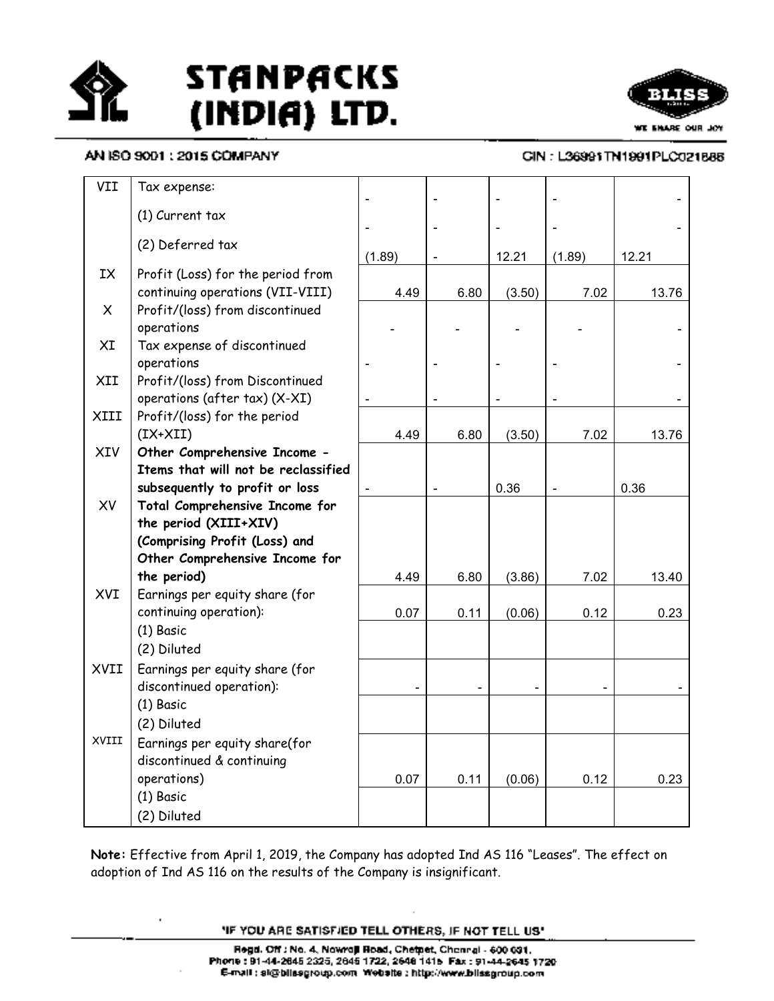



### AN ISO 9001 : 2015 COMPANY

.

### CIN: L36991TN1991PLC021888

| VII          | Tax expense:                                               |        |      |        |        |       |
|--------------|------------------------------------------------------------|--------|------|--------|--------|-------|
|              | $(1)$ Current tax                                          |        |      |        |        |       |
|              |                                                            |        |      |        |        |       |
|              | (2) Deferred tax                                           | (1.89) |      | 12.21  | (1.89) | 12.21 |
| IX           | Profit (Loss) for the period from                          |        |      |        |        |       |
|              | continuing operations (VII-VIII)                           | 4.49   | 6.80 | (3.50) | 7.02   | 13.76 |
| $\mathsf{X}$ | Profit/(loss) from discontinued                            |        |      |        |        |       |
|              | operations                                                 |        |      |        |        |       |
| XI           | Tax expense of discontinued                                |        |      |        |        |       |
|              | operations                                                 |        |      |        |        |       |
| XII          | Profit/(loss) from Discontinued                            |        |      |        |        |       |
|              | operations (after tax) (X-XI)                              |        |      |        |        |       |
| XIII         | Profit/(loss) for the period                               |        |      |        |        |       |
|              | $(IX+XII)$                                                 | 4.49   | 6.80 | (3.50) | 7.02   | 13.76 |
| XIV          | Other Comprehensive Income -                               |        |      |        |        |       |
|              | Items that will not be reclassified                        |        |      |        |        |       |
|              | subsequently to profit or loss                             |        |      | 0.36   |        | 0.36  |
| XV           | Total Comprehensive Income for                             |        |      |        |        |       |
|              | the period (XIII+XIV)                                      |        |      |        |        |       |
|              | (Comprising Profit (Loss) and                              |        |      |        |        |       |
|              | Other Comprehensive Income for                             |        |      |        |        |       |
| XVI          | the period)                                                | 4.49   | 6.80 | (3.86) | 7.02   | 13.40 |
|              | Earnings per equity share (for<br>continuing operation):   | 0.07   |      | (0.06) | 0.12   | 0.23  |
|              | (1) Basic                                                  |        | 0.11 |        |        |       |
|              | (2) Diluted                                                |        |      |        |        |       |
| XVII         |                                                            |        |      |        |        |       |
|              | Earnings per equity share (for<br>discontinued operation): |        |      |        |        |       |
|              | (1) Basic                                                  |        |      |        |        |       |
|              | (2) Diluted                                                |        |      |        |        |       |
| XVIII        |                                                            |        |      |        |        |       |
|              | Earnings per equity share(for                              |        |      |        |        |       |
|              | discontinued & continuing<br>operations)                   | 0.07   | 0.11 | (0.06) | 0.12   | 0.23  |
|              | $(1)$ Basic                                                |        |      |        |        |       |
|              | (2) Diluted                                                |        |      |        |        |       |
|              |                                                            |        |      |        |        |       |

Note: Effective from April 1, 2019, the Company has adopted Ind AS 116 "Leases". The effect on adoption of Ind AS 116 on the results of the Company is insignificant.

**'IF YOU ARE SATISFIED TELL OTHERS, IF NOT TELL US'**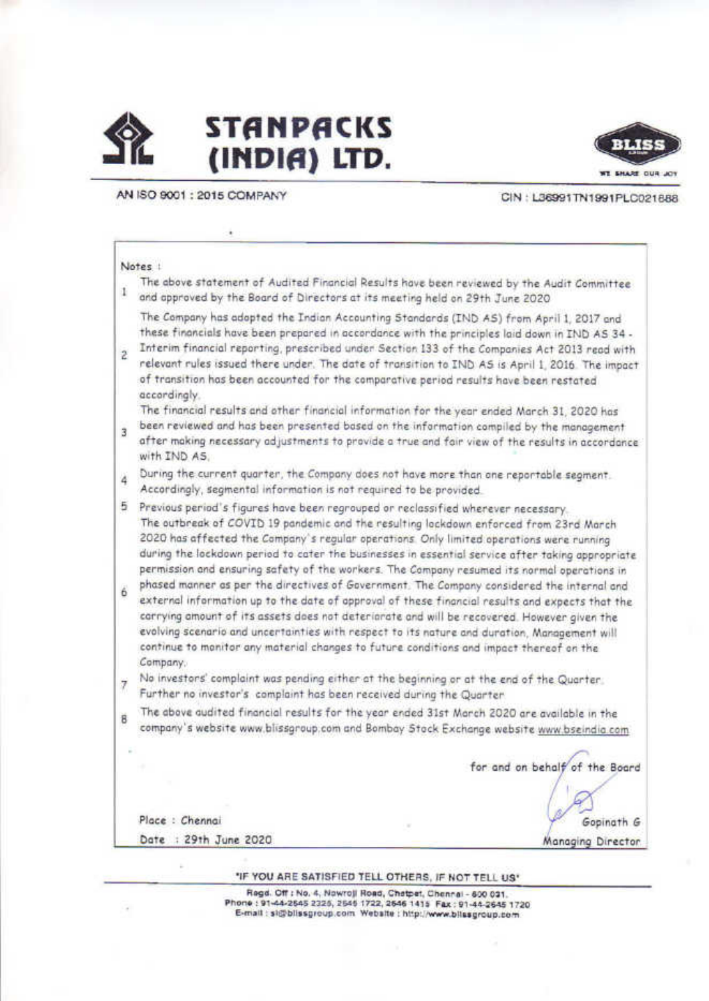



AN ISO 9001 : 2015 COMPANY

CIN: L36991TN1991PLC021888

#### Notes !

The above statement of Audited Financial Results have been reviewed by the Audit Committee 1 and approved by the Board of Directors at its meeting held on 29th June 2020

The Company has adopted the Indian Accounting Standards (IND AS) from April 1, 2017 and these financials have been prepared in accordance with the principles laid down in IND AS 34 -

Interim financial reporting, prescribed under Section 133 of the Companies Act 2013 read with  $\overline{2}$ relevant rules issued there under. The date of transition to IND AS is April 1, 2016. The impact of transition has been accounted for the comparative period results have been restated accordinaly.

The financial results and other financial information for the year ended March 31, 2020 has

been reviewed and has been presented based on the information compiled by the management  $\overline{3}$ after making necessary adjustments to provide a true and fair view of the results in accordance with IND AS.

During the current quarter, the Company does not have more than one reportable segment.  $\ddot{4}$ Accordingly, segmental information is not required to be provided.

5 Previous period's figures have been regrouped or reclassified wherever necessary. The outbreak of COVID 19 pandemic and the resulting lockdown enforced from 23rd March 2020 has affected the Company's regular operations. Only limited operations were running during the lockdown period to cater the businesses in essential service after taking appropriate permission and ensuring safety of the workers. The Campany resumed its normal operations in

- phased manner as per the directives of Government. The Company considered the internal and 6 external information up to the date of approval of these financial results and expects that the carrying amount of its assets does not deteriorate and will be recovered. However given the evolving scenario and uncertainties with respect to its nature and duration. Management will continue to manitor any material changes to future conditions and impact thereof on the Company,
- No investors' complaint was pending either at the beginning or at the end of the Quarter.  $\overline{7}$ Further no investor's complaint has been received during the Quarter
- The above audited financial results for the year ended 31st March 2020 are available in the 8 company's website www.blissgroup.com and Bombay Stock Exchange website www.bseindia.com

for and on behalf of the Board

Gopinath G

Managing Director

Place : Chennai Date : 29th June 2020

"IF YOU ARE SATISFIED TELL OTHERS, IF NOT TELL US"

Regd. Off : No. 4, Nowroji Road, Chatpet, Chennai - 600 031. Phone: 91-44-2545 2325, 2545 1722, 2546 1415 Fax: 91-44-2545 1720 E-mail: sighlissgroup.com Website: http://www.bilssgroup.com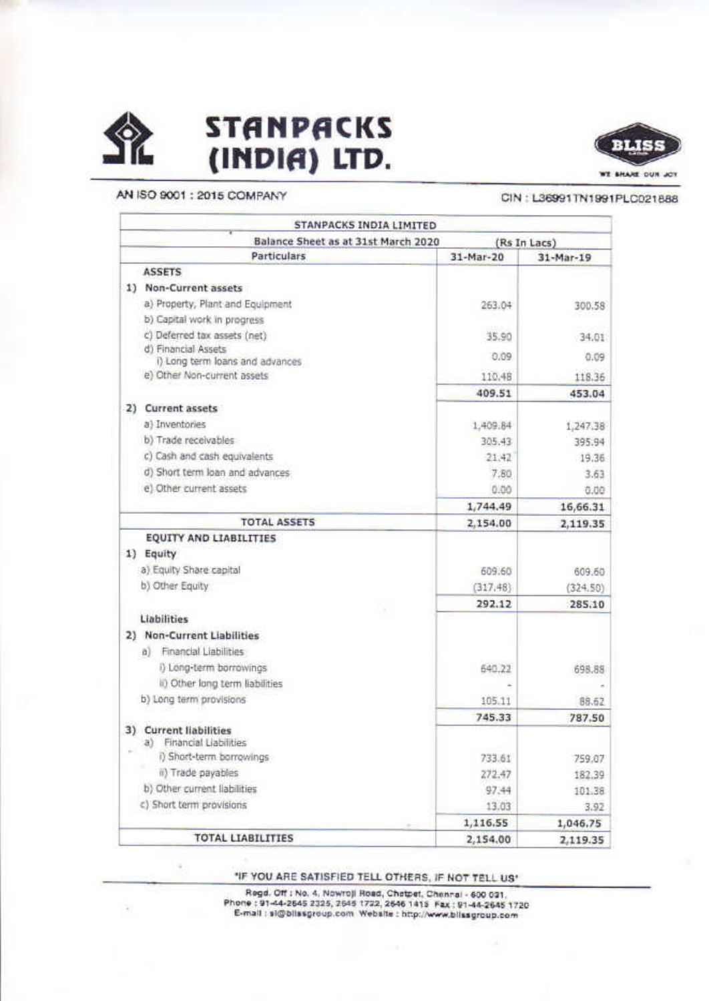

 $\alpha$ 

# **STANPACKS** (INDIA) LTD.



AN ISO 9001 : 2015 COMPANY

# CIN: L36991TN1991PLC021888

|               | STANPACKS INDIA LIMITED                                |                |           |  |  |
|---------------|--------------------------------------------------------|----------------|-----------|--|--|
|               | Balance Sheet as at 31st March 2020<br>(Rs In Lacs)    |                |           |  |  |
|               | <b>Particulars</b>                                     | 31-Mar-20      | 31-Mar-19 |  |  |
| <b>ASSETS</b> |                                                        |                |           |  |  |
| 1)            | Non-Current assets                                     |                |           |  |  |
|               | a) Property, Plant and Equipment                       | 263.04         | 300.58    |  |  |
|               | b) Capital work in progress                            |                |           |  |  |
|               | c) Deferred tax assets (net)                           | 35.90          | 34.01     |  |  |
|               | d) Financial Assets<br>i) Long term loans and advances | 0.09           | 0.09      |  |  |
|               | e) Other Non-current assets                            | 110.48         | 118.36    |  |  |
|               |                                                        | 409.51         | 453.04    |  |  |
| 2)            | Current assets                                         |                |           |  |  |
|               | a) Inventories                                         | 1,409.84       | 1,247.38  |  |  |
|               | b) Trade receivables                                   | 305.43         | 395.94    |  |  |
|               | c) Cash and cash equivalents                           | 21.42          | 19.36     |  |  |
|               | d) Short term loan and advances                        | 7.80           | 3.63      |  |  |
|               | e) Other current assets                                | 0.00           | 0.00      |  |  |
|               |                                                        | 1,744.49       | 16,66.31  |  |  |
|               | <b>TOTAL ASSETS</b>                                    | 2,154.00       | 2,119.35  |  |  |
|               | EQUITY AND LIABILITIES                                 |                |           |  |  |
| 1) Equity     |                                                        |                |           |  |  |
|               | a) Equity Share capital                                | 609.60         | 609.60    |  |  |
|               | b) Other Equity                                        | (317, 48)      | (324.50)  |  |  |
|               |                                                        | 292.12         | 285.10    |  |  |
| Liabilities   |                                                        |                |           |  |  |
|               | 2) Non-Current Liabilities                             |                |           |  |  |
| a)            | Financial Liabilities                                  |                |           |  |  |
|               | i) Long-term borrowings                                | 640.22         | 698,88    |  |  |
|               | ii) Other long term liabilities                        |                |           |  |  |
|               | b) Long term provisions                                | 105.11         | 88.62     |  |  |
|               |                                                        | 745.33         | 787.50    |  |  |
| 3)            | <b>Current liabilities</b>                             |                |           |  |  |
| a)            | Financial Liabilities                                  |                |           |  |  |
|               | i) Short-term borrowings<br>ii) Trade payables         | 733.61         | 759.07    |  |  |
|               | b) Other current liabilities                           | 272.47         | 182.39    |  |  |
|               | c) Short term provisions                               | 97.44<br>13.03 | 101.38    |  |  |
|               |                                                        | 1,116.55       | 3.92      |  |  |
|               | <b>TOTAL LIABILITIES</b>                               |                | 1,046.75  |  |  |
|               |                                                        | 2,154.00       | 2,119.35  |  |  |

"IF YOU ARE SATISFIED TELL OTHERS, IF NOT TELL US"

Regd. Off : No. 4, Nowroji Road, Chatpet, Chennai - 600 031. Phone: 91-44-2645 2325, 2645 1722, 2646 1415 Fax: 91-44-2645 1720 E-mail : si@blissgroup.com Website : http://www.blissgroup.com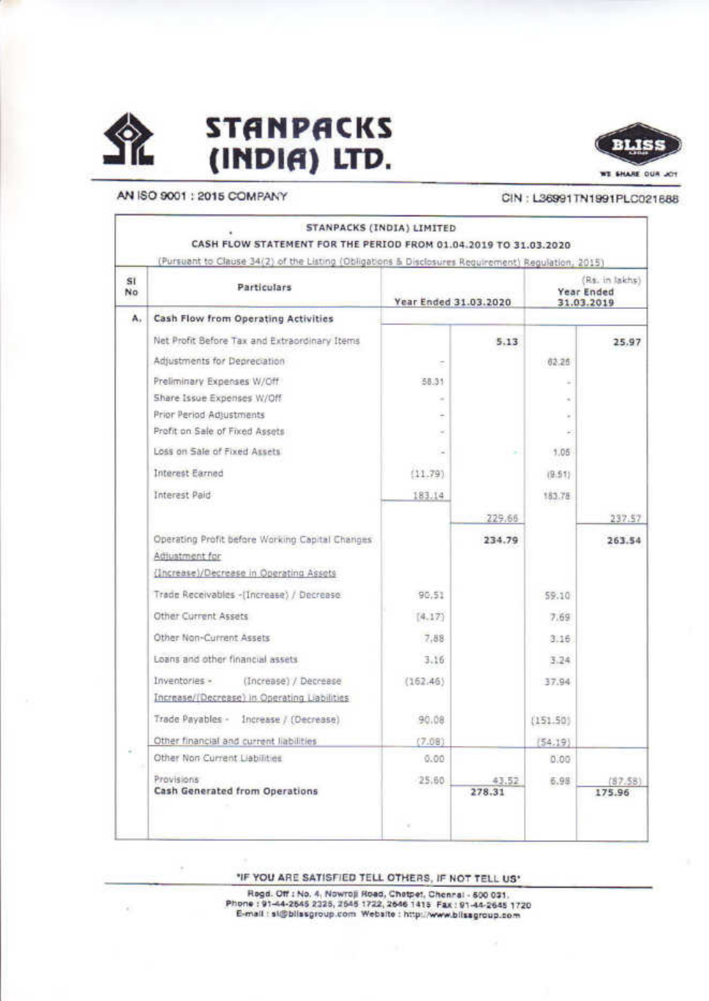

 $\alpha$ 

# **STANPACKS** (INDIA) LTD.



### AN ISO 9001 : 2015 COMPANY

### CIN: L36991TN1991PLC021688

|          | (Pursuant to Clause 34(2) of the Listing (Obligations & Disclosures Requirement) Regulation, 2015) |                       |        |                                            |         |
|----------|----------------------------------------------------------------------------------------------------|-----------------------|--------|--------------------------------------------|---------|
| SI<br>No | Particulars                                                                                        | Year Ended 31.03.2020 |        | (Rs. in lakhs)<br>Year Ended<br>31.03.2019 |         |
| А.       | Cash Flow from Operating Activities                                                                |                       |        |                                            |         |
|          | Net Profit Before Tax and Extraordinary Items                                                      |                       | 5.13   |                                            | 25.97   |
|          | Adjustments for Depreciation                                                                       |                       |        | 62.25                                      |         |
|          | Preliminary Expenses W/Off                                                                         | 58.31                 |        |                                            |         |
|          | Share Issue Expenses W/Off                                                                         |                       |        |                                            |         |
|          | Prior Period Adjustments                                                                           |                       |        |                                            |         |
|          | Profit on Sale of Fixed Assets                                                                     |                       |        |                                            |         |
|          | Loss on Sale of Fixed Assets                                                                       | ×                     |        | 1.05                                       |         |
|          | Interest Earned                                                                                    | (11.79)               |        | (9.51)                                     |         |
|          | Interest Paid                                                                                      | 183.14                |        | 183.78                                     |         |
|          |                                                                                                    |                       | 229.66 |                                            | 237.57  |
|          | Operating Profit before Working Capital Changes                                                    |                       | 234.79 |                                            | 263.54  |
|          | Adjustment for                                                                                     |                       |        |                                            |         |
|          | (Increase)/Decrease in Operating Assets                                                            |                       |        |                                            |         |
|          | Trade Receivables -(Increase) / Decrease                                                           | 90.51                 |        | 59.10                                      |         |
|          | Other Current Assets                                                                               | (4.17)                |        | 7.69                                       |         |
|          | Other Non-Current Assets                                                                           | 7.88                  |        | 3.16                                       |         |
|          | Loans and other financial assets                                                                   | 3.16                  |        | 3.24                                       |         |
|          | Inventories -<br>(Increase) / Decrease                                                             | (162.46)              |        | 37.94                                      |         |
|          | Increase/(Decrease) in Operating Liabilities                                                       |                       |        |                                            |         |
|          | Trade Payables - Increase / (Decrease)                                                             | 90.08                 |        | (151.50)                                   |         |
|          | Other financial and current liabilities                                                            | (7.08)                |        | (54.19)                                    |         |
|          | Other Non Current Liabilities                                                                      | 0.00                  |        | 0.00                                       |         |
|          | Provisions:                                                                                        | 25.60                 | 43.52  | 6.98                                       | (87.58) |
|          | Cash Generated from Operations                                                                     |                       | 278.31 |                                            | 175.96  |
|          |                                                                                                    |                       |        |                                            |         |

"IF YOU ARE SATISFIED TELL OTHERS, IF NOT TELL US"

Regd. Off : No. 4, Nowroji Read, Chetpet, Chennal - 500 031,<br>Phone : 91-44-2545 2325, 2545 1722, 2646 1415 Fax : 91-44-2645 1720<br>E-mail : sli@bilssgroup.com Website : http://www.bilssgroup.com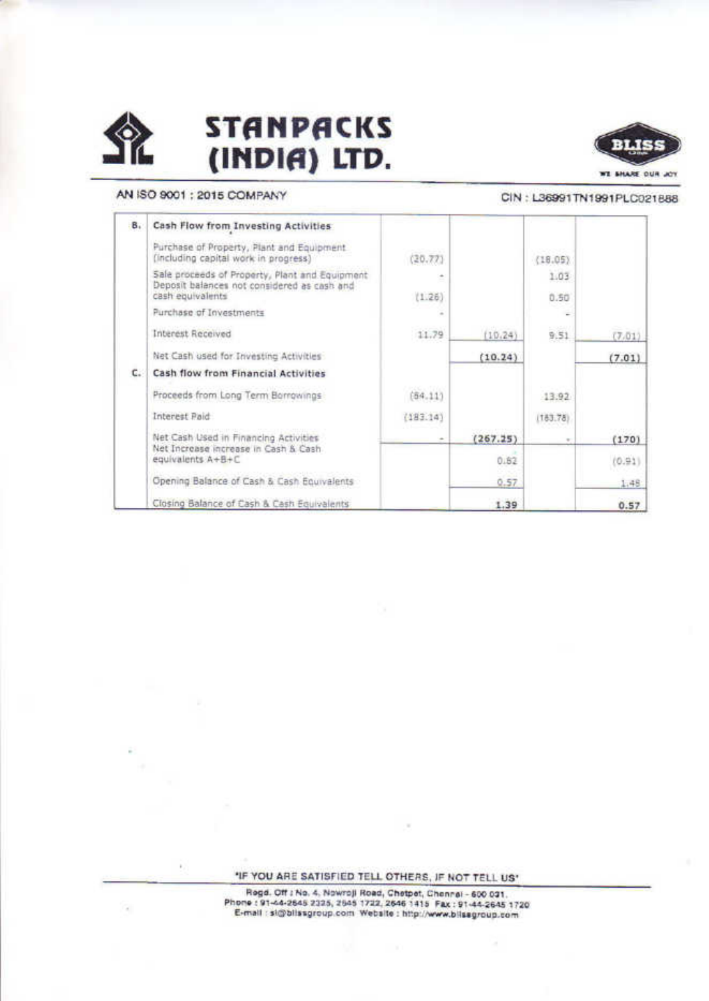



# AN ISO 9001 : 2015 COMPANY

×

×

#### CIN: L36991TN1991PLC021888

| в. | Cash Flow from Investing Activities                                                                 |          |          |          |        |
|----|-----------------------------------------------------------------------------------------------------|----------|----------|----------|--------|
|    | Purchase of Property, Plant and Equipment.<br>(including capital work in progress)                  | (20.77)  |          | (18.05)  |        |
|    | Sale proceeds of Property, Plant and Equipment<br>Deposit balances not considered as cash and       |          |          | 1.03     |        |
|    | cash equivalents                                                                                    | (1.26)   |          | 0.50     |        |
|    | Purchase of Investments                                                                             | ۰        |          | Ξ        |        |
|    | Interest Received                                                                                   | 11.79    | (10.24)  | 9.51     | (7.01) |
|    | Net Cash used for Investing Activities                                                              |          | (10.24)  |          | (7.01) |
| c. | Cash flow from Financial Activities                                                                 |          |          |          |        |
|    | Proceeds from Long Term Borrowings                                                                  | (64.11)  |          | 13.92    |        |
|    | Interest Paid                                                                                       | (183.14) |          | (183.78) |        |
|    | Net Cash Used in Financing Activities<br>Net Increase increase in Cash & Cash.<br>equivalents A+B+C |          | (267.25) |          | (170)  |
|    |                                                                                                     |          | 0.82     |          | (0.91) |
|    | Opening Balance of Cash & Cash Equivalents                                                          |          | 0.57     |          | 1.48   |
|    | Closing Balance of Cash & Cash Equivalents                                                          |          | 1.39     |          | 0.57   |

"IF YOU ARE SATISFIED TELL OTHERS, IF NOT TELL US"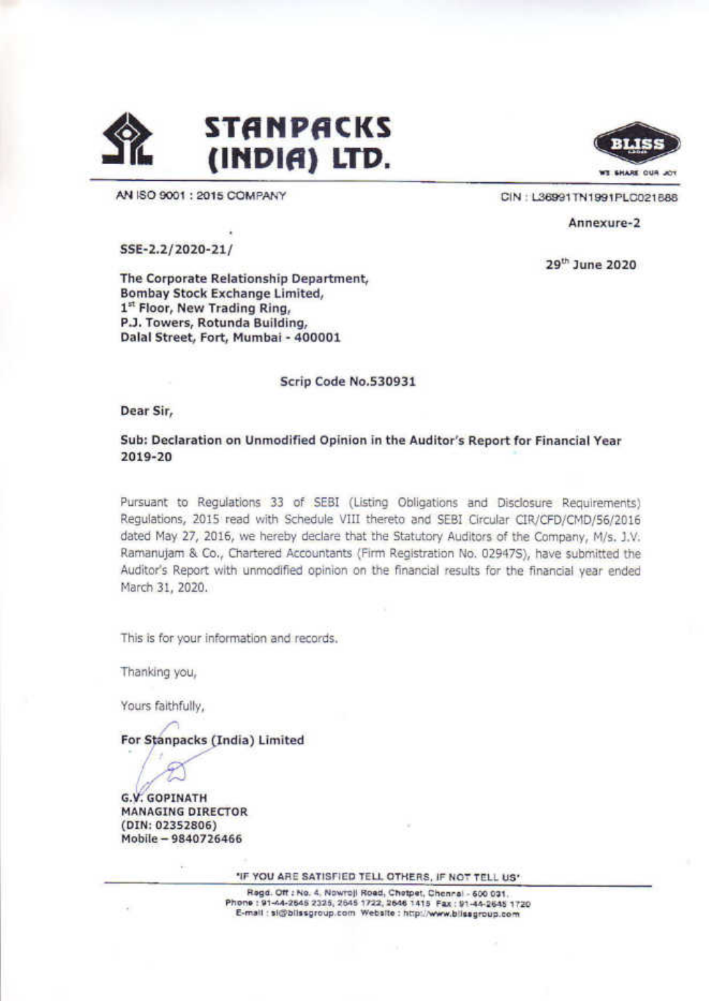



AN ISO 9001 : 2015 COMPANY

CIN: L36991TN1991PLC021888

29<sup>th</sup> June 2020

Annexure-2

SSE-2.2/2020-21/

The Corporate Relationship Department, Bombay Stock Exchange Limited, 1st Floor, New Trading Ring, P.J. Towers, Rotunda Building, Dalal Street, Fort, Mumbai - 400001

Scrip Code No.530931

Dear Sir,

Sub: Declaration on Unmodified Opinion in the Auditor's Report for Financial Year 2019-20

Pursuant to Regulations 33 of SEBI (Listing Obligations and Disclosure Requirements) Regulations, 2015 read with Schedule VIII thereto and SEBI Circular CIR/CFD/CMD/56/2016 dated May 27, 2016, we hereby declare that the Statutory Auditors of the Company, M/s. J.V. Ramanujam & Co., Chartered Accountants (Firm Registration No. 02947S), have submitted the Auditor's Report with unmodified opinion on the financial results for the financial year ended March 31, 2020.

This is for your information and records.

Thanking you,

Yours faithfully,

For Stanpacks (India) Limited

**G.V. GOPINATH** 

**MANAGING DIRECTOR** (DIN: 02352806) Mobile - 9840726466

"IF YOU ARE SATISFIED TELL OTHERS, IF NOT TELL US"

Regd. Off : No. 4, Nowrojl Road, Chetpet, Chennal - 600 031. Phone: 91-44-2645 2325, 2645 1722, 2646 1415 Fax: 91-44-2645 1720 E-mail: sightissgroup.com Website: http://www.bilssgroup.com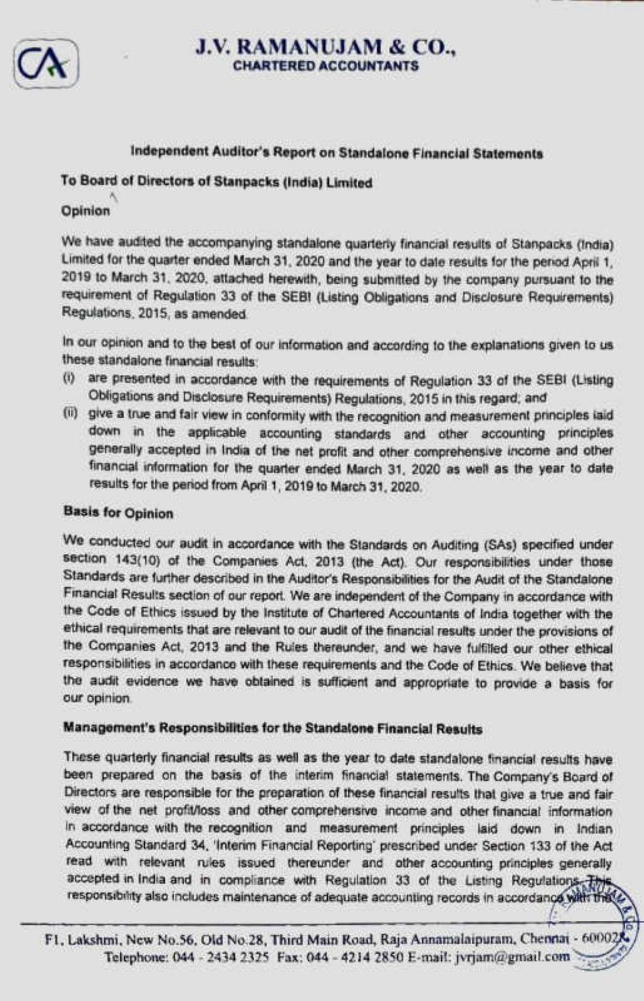

## <sup>J</sup>.V. RAMANUJAM & <sup>C</sup>O., **CHARTERED ACCOUNTANTS**

### Independent Auditor's Report on Standalone Financial Statements

## To Board of Directors of Stanpacks (India) Limited

### Opinion

A

We have audited the accompanying standalone quarterly financial results of Stanpacks (India) Limited for the quarter ended March 31, 2020 and the year to date results for the period April 1, 2019 to March 31, 2020, attached herewith, being submitted by the company pursuant to the requirement of Regulation 33 of the SEBI (Listing Obligations and Disclosure Requirements) Regulations, 2015, as amended.

In our opinion and to the best of our information and according to the explanations given to us these standalone financial results:

- (i) are presented in accordance with the requirements of Regulation 33 of the SEBI (Listing Obligations and Disclosure Requirements) Regulations, 2015 in this regard; and
- (li) give a true and fair view in conformity with the recognition and measurement principles laid down in the applicable accounting standards and other accounting principles generally accepted in India of the net profit and other comprehensive income and other financial information for the quarter ended March 31, 2020 as well as the year to date results for the period from April 1, 2019 to March 31, 2020.

### Basis for Opinion

We conducted our audit in accordance with the Standards on Auditing (SAs) specified under section 143(10) of the Companies Act, 2013 (the Act). Our responsibilities under those Standards are further described in the Auditor's Responsibilities for the Audit of the Standalone Financial Results section of our report. We are independent of the Company in accordance with the Code of Ethics issued by the Institute of Chartered Accountants of India together with the ethical requirements that are relevant to our audit of the financial results under the provisions of the Companies Act, 2013 and the Rules thereunder, and we have fulfilled our other ethical responsibllities in accordance with these requirements and the Code of Ethics. We believe that the audit evidence we have obtained is sufficient and appropriate to provide a basis for our opinion. Regulations, 2015, as amended.<br>
In our opinion and to the best of our information<br>
these standalone financial results:<br>
(1) are presented in accordance with the red<br>
Obligations and Diaclocatic Requirements)<br>
(iii) give a

#### Management's Responsibilities <sup>f</sup>o<sup>r</sup> <sup>t</sup>h<sup>e</sup> Standalone Financial Results

These quarterly financial results as well as the year to date standalone financial results have been prepared on the basis of the interim financial statements. The Company's Board of Directors are responsible for the preparation of these financial results that give a true and fair view ofthe net profitioss and other comprehensive income and other financial information in accordance with the recognition and measurement principles laid down in Indian Accounting Standard 34, 'Interim Financial Reporting' prescribed under Section 133 of the Act read with relevant rules issued thereunder and other accounting principles generally accepted in India and in compliance with Regulation 33 of the Listing Regulations. This responsibility also includes maintenance of adequate accounting records in accordance with the

 $\sum_{i=1}^{n}$ Fl, Lakshmi, New No.56, Old No.28, Third Main Road, Raja Annamalaipuram, Chennai - 600028 <sup>T</sup>elephone; <sup>0</sup>44- <sup>2</sup>43<sup>4</sup> <sup>2</sup>32<sup>5</sup> Fax; <sup>0</sup>44- <sup>4</sup>21<sup>4</sup> <sup>2</sup>85<sup>0</sup> <sup>E</sup>-mail: <sup>j</sup>vtiam@gmail.co<sup>m</sup> >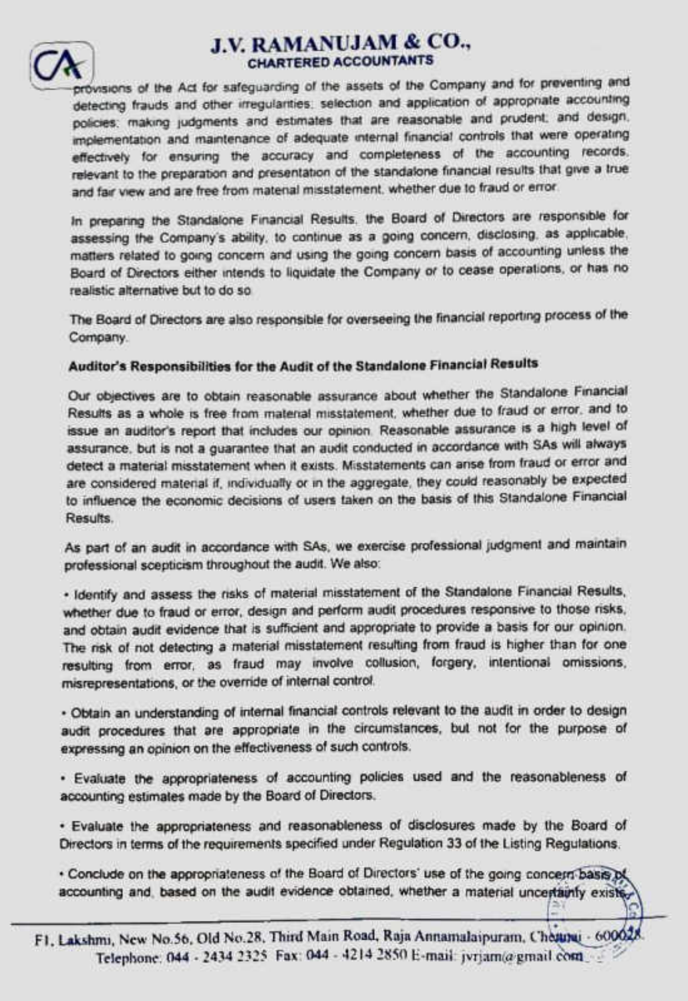

# J.V. RAMANUJAM & CO., **CHARTERED ACCOUNTANTS**

provisions of the Act for safeguarding of the assets of the Company and for preventing and <sup>d</sup>etectin<sup>g</sup> <sup>f</sup>raud<sup>s</sup> <sup>a</sup>n<sup>d</sup> <sup>o</sup>the<sup>r</sup> <sup>i</sup>rregulanties. <sup>s</sup>electio<sup>n</sup> <sup>a</sup>n<sup>d</sup> <sup>a</sup>pplicatio<sup>n</sup> <sup>o</sup><sup>f</sup> <sup>a</sup>ppropnat<sup>e</sup> <sup>a</sup>ccountin<sup>g</sup> <sup>p</sup>olicies: <sup>m</sup>akin<sup>g</sup> <sup>j</sup>udgment<sup>s</sup> <sup>a</sup>n<sup>d</sup> <sup>e</sup>stimate<sup>s</sup> <sup>t</sup>ha<sup>t</sup> <sup>a</sup>r<sup>e</sup> <sup>r</sup>easonabl<sup>e</sup> <sup>a</sup>n<sup>d</sup> <sup>p</sup>rudent; <sup>a</sup>n<sup>d</sup> <sup>d</sup>esign, <sup>i</sup>mplementatio<sup>n</sup> <sup>a</sup>n<sup>d</sup> <sup>m</sup>aintenanc<sup>e</sup> <sup>o</sup><sup>f</sup> <sup>a</sup>dequat<sup>e</sup> <sup>i</sup>nterna<sup>l</sup> <sup>f</sup>inancia<sup>l</sup> <sup>c</sup>ontrol<sup>s</sup> <sup>t</sup>ha<sup>t</sup> <sup>w</sup>er<sup>e</sup> <sup>o</sup>peratin<sup>g</sup> <sup>e</sup>ffectivel<sup>y</sup> <sup>f</sup>o<sup>r</sup> <sup>e</sup>nsurin<sup>g</sup> <sup>t</sup>h<sup>e</sup> <sup>a</sup>ccurac<sup>y</sup> <sup>a</sup>n<sup>d</sup> <sup>c</sup>ompleteness <sup>o</sup><sup>f</sup> <sup>t</sup>h<sup>e</sup> <sup>a</sup>ccountin<sup>g</sup> <sup>r</sup>ecords. <sup>r</sup>elevan<sup>t</sup> <sup>t</sup><sup>o</sup> <sup>t</sup>h<sup>e</sup> <sup>p</sup>reparatio<sup>n</sup> <sup>a</sup>n<sup>d</sup> <sup>p</sup>resentatio<sup>n</sup> <sup>o</sup><sup>f</sup> <sup>t</sup>h<sup>e</sup> <sup>s</sup>tandalon<sup>e</sup> <sup>f</sup>inancia<sup>l</sup> <sup>r</sup>esult<sup>s</sup> <sup>t</sup>ha<sup>t</sup> <sup>g</sup>iv<sup>e</sup> <sup>a</sup> <sup>t</sup>ru<sup>e</sup> <sup>a</sup>n<sup>d</sup> <sup>f</sup>ai<sup>r</sup> <sup>w</sup>e<sup>w</sup> <sup>a</sup>n<sup>d</sup> <sup>a</sup>r<sup>e</sup> <sup>f</sup>ree <sup>f</sup>ro<sup>m</sup> <sup>m</sup>atena<sup>l</sup> <sup>m</sup>isstatement. <sup>w</sup>hethe<sup>r</sup> <sup>d</sup>u<sup>e</sup> <sup>t</sup><sup>o</sup> <sup>f</sup>rau<sup>d</sup> <sup>o</sup><sup>r</sup> <sup>e</sup>rro<sup>r</sup>

<sup>I</sup><sup>n</sup> <sup>p</sup>reparin<sup>g</sup> <sup>t</sup>h<sup>e</sup> <sup>S</sup>tandalon<sup>e</sup> <sup>F</sup>inancia<sup>l</sup> <sup>R</sup>esults, <sup>t</sup>h<sup>e</sup> <sup>B</sup>oar<sup>d</sup> <sup>o</sup><sup>f</sup> <sup>D</sup>irector<sup>s</sup> <sup>a</sup>r<sup>e</sup> <sup>r</sup>esponsibl<sup>e</sup> <sup>f</sup>o<sup>r</sup> <sup>a</sup>ssessin<sup>g</sup> <sup>t</sup>h<sup>e</sup> <sup>C</sup>ompany'<sup>s</sup> <sup>a</sup>bility, <sup>t</sup><sup>o</sup> <sup>c</sup>ontinu<sup>e</sup> <sup>a</sup><sup>s</sup> <sup>a</sup> <sup>g</sup>oin<sup>g</sup> <sup>c</sup>oncern, <sup>d</sup>isclosing, <sup>a</sup><sup>s</sup> <sup>a</sup>pplicable, matters related to going concern and using the going concern basis of accounting unless the <sup>B</sup>oar<sup>d</sup> <sup>o</sup><sup>f</sup> <sup>D</sup>irector<sup>s</sup> <sup>e</sup>ithe<sup>r</sup> <sup>i</sup>ntend<sup>s</sup> <sup>t</sup><sup>o</sup> <sup>l</sup>iquidat<sup>e</sup> <sup>t</sup>h<sup>e</sup> <sup>C</sup>ompan<sup>y</sup> <sup>o</sup><sup>r</sup> <sup>t</sup><sup>o</sup> <sup>c</sup>eas<sup>e</sup> <sup>o</sup>perations, <sup>o</sup><sup>r</sup> <sup>h</sup>a<sup>s</sup> <sup>n</sup><sup>o</sup> realistic alternative but <sup>t</sup><sup>o</sup> do so

The Board of Directors are also responsible for overseeing the financial reporting process of the Company.

### Auditor's Responsibilities for the Audit of the Standalone Financial Results

<sup>O</sup>u<sup>r</sup> <sup>o</sup>bjective<sup>s</sup> <sup>a</sup>r<sup>e</sup> <sup>t</sup><sup>o</sup> <sup>o</sup>btai<sup>n</sup> <sup>r</sup>easonabl<sup>e</sup> <sup>a</sup>ssuranc<sup>e</sup> <sup>a</sup>bou<sup>t</sup> <sup>w</sup>hethe<sup>r</sup> <sup>t</sup>h<sup>e</sup> <sup>S</sup>tandalon<sup>e</sup> <sup>F</sup>inancia<sup>l</sup> Results as a whole is free from material misstatement, whether due to fraud or error, and to issue an auditor's report that includes our opinion. Reasonable assurance is a high level of assurance, but is not a guarantee that an audit conducted in accordance with SAs will always detect a material misstatement when it exists. Misstatements can arise from fraud or error and <sup>a</sup>r<sup>e</sup> considered <sup>m</sup>ateria<sup>l</sup> <sup>i</sup>f, <sup>i</sup>ndividuall<sup>y</sup> <sup>o</sup><sup>r</sup> <sup>i</sup><sup>n</sup> <sup>t</sup>h<sup>e</sup> aggregate, <sup>t</sup>he<sup>y</sup> <sup>c</sup>oul<sup>d</sup> reasonably <sup>b</sup><sup>e</sup> expected to influence the economic decisions of users taken on the basis of this Standalone Financial Results.

As part of an audit in accordance with SAs, we exercise professional judgment and maintain professional scepticism throughout the audit. We also:

« Identify and assess the risks of material misstatement of the Standalone Financial Results, whether due to fraud or error, design and perform audit procedures responsive to those risks, and obtain audit evidence that is sufficient and appropriate to provide a basis for our opinion. The risk of not detecting a material misstatement resulting from fraud is higher than for one resulting from error, as fraud may involve collusion, forgery, intentional omissions, misrepresentations, or the override of internal control,

\* Obtain an understanding of internal financial controls relevant to the audit in order to design audit procedures that are appropriate in the circumstances, but not for the purpose of expressing an opinion on the effectiveness <sup>o</sup><sup>f</sup> such controls.

\* Evaluate the appropriateness <sup>o</sup><sup>f</sup> accounting policies used and the reasonableness <sup>o</sup><sup>f</sup> accounting estimates made by <sup>t</sup>h<sup>e</sup> Board <sup>o</sup><sup>f</sup> Directors.

<sup>+</sup> Evaluate <sup>t</sup>h<sup>e</sup> appropriateness and reasonableness <sup>o</sup><sup>f</sup> disclosures made <sup>b</sup><sup>y</sup> the Board <sup>o</sup><sup>f</sup> Directors <sup>i</sup><sup>n</sup> terms <sup>o</sup><sup>f</sup> the requirements specified under Regulation 33 <sup>o</sup><sup>f</sup> the Listing Regulations.

\* Conciude on the appropriateness <sup>o</sup><sup>f</sup> the Board <sup>o</sup><sup>f</sup> Directors' use <sup>o</sup><sup>f</sup> the going concerrbasiy conclude on the appropriateness of the Board of Directors' use of the going concern basis of the appropriateness of the Board of Directors' uncertainty exists. Si oo Mad

on <sup>B</sup><sup>D</sup>